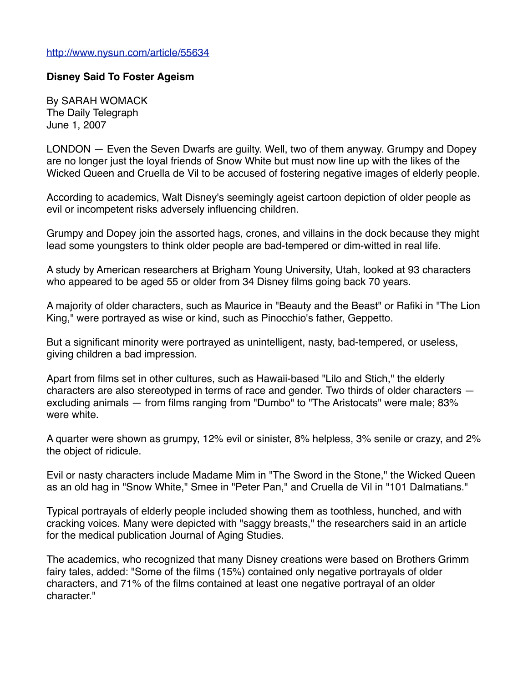## **Disney Said To Foster Ageism**

By SARAH WOMACK The Daily Telegraph June 1, 2007

LONDON — Even the Seven Dwarfs are guilty. Well, two of them anyway. Grumpy and Dopey are no longer just the loyal friends of Snow White but must now line up with the likes of the Wicked Queen and Cruella de Vil to be accused of fostering negative images of elderly people.

According to academics, Walt Disney's seemingly ageist cartoon depiction of older people as evil or incompetent risks adversely influencing children.

Grumpy and Dopey join the assorted hags, crones, and villains in the dock because they might lead some youngsters to think older people are bad-tempered or dim-witted in real life.

A study by American researchers at Brigham Young University, Utah, looked at 93 characters who appeared to be aged 55 or older from 34 Disney films going back 70 years.

A majority of older characters, such as Maurice in "Beauty and the Beast" or Rafiki in "The Lion King," were portrayed as wise or kind, such as Pinocchio's father, Geppetto.

But a significant minority were portrayed as unintelligent, nasty, bad-tempered, or useless, giving children a bad impression.

Apart from films set in other cultures, such as Hawaii-based "Lilo and Stich," the elderly characters are also stereotyped in terms of race and gender. Two thirds of older characters excluding animals — from films ranging from "Dumbo" to "The Aristocats" were male; 83% were white.

A quarter were shown as grumpy, 12% evil or sinister, 8% helpless, 3% senile or crazy, and 2% the object of ridicule.

Evil or nasty characters include Madame Mim in "The Sword in the Stone," the Wicked Queen as an old hag in "Snow White," Smee in "Peter Pan," and Cruella de Vil in "101 Dalmatians."

Typical portrayals of elderly people included showing them as toothless, hunched, and with cracking voices. Many were depicted with "saggy breasts," the researchers said in an article for the medical publication Journal of Aging Studies.

The academics, who recognized that many Disney creations were based on Brothers Grimm fairy tales, added: "Some of the films (15%) contained only negative portrayals of older characters, and 71% of the films contained at least one negative portrayal of an older character."